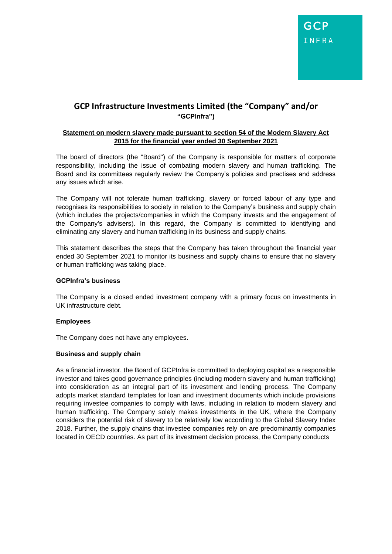# **GCP Infrastructure Investments Limited (the "Company" and/or "GCPInfra")**

### **Statement on modern slavery made pursuant to section 54 of the Modern Slavery Act 2015 for the financial year ended 30 September 2021**

The board of directors (the "Board") of the Company is responsible for matters of corporate responsibility, including the issue of combating modern slavery and human trafficking. The Board and its committees regularly review the Company's policies and practises and address any issues which arise.

The Company will not tolerate human trafficking, slavery or forced labour of any type and recognises its responsibilities to society in relation to the Company's business and supply chain (which includes the projects/companies in which the Company invests and the engagement of the Company's advisers). In this regard, the Company is committed to identifying and eliminating any slavery and human trafficking in its business and supply chains.

This statement describes the steps that the Company has taken throughout the financial year ended 30 September 2021 to monitor its business and supply chains to ensure that no slavery or human trafficking was taking place.

### **GCPInfra's business**

The Company is a closed ended investment company with a primary focus on investments in UK infrastructure debt.

# **Employees**

The Company does not have any employees.

# **Business and supply chain**

As a financial investor, the Board of GCPInfra is committed to deploying capital as a responsible investor and takes good governance principles (including modern slavery and human trafficking) into consideration as an integral part of its investment and lending process. The Company adopts market standard templates for loan and investment documents which include provisions requiring investee companies to comply with laws, including in relation to modern slavery and human trafficking. The Company solely makes investments in the UK, where the Company considers the potential risk of slavery to be relatively low according to the Global Slavery Index 2018. Further, the supply chains that investee companies rely on are predominantly companies located in OECD countries. As part of its investment decision process, the Company conducts